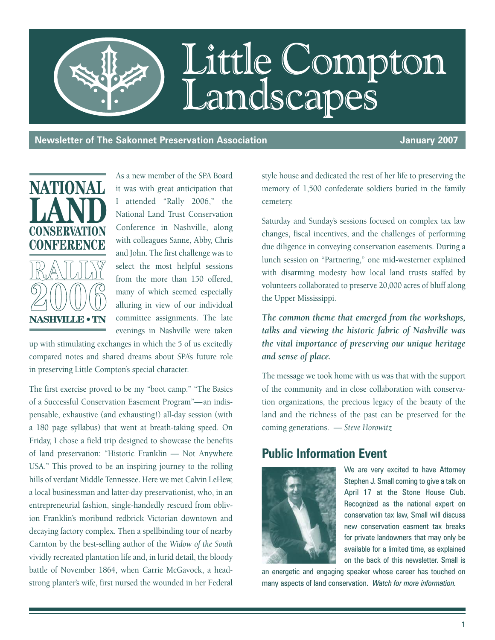

**Newsletter of The Sakonnet Preservation Association And Annual Connectivity of the University 2007** 



As a new member of the SPA Board it was with great anticipation that I attended "Rally 2006," the National Land Trust Conservation Conference in Nashville, along with colleagues Sanne, Abby, Chris and John. The first challenge was to select the most helpful sessions from the more than 150 offered, many of which seemed especially alluring in view of our individual committee assignments. The late evenings in Nashville were taken

up with stimulating exchanges in which the 5 of us excitedly compared notes and shared dreams about SPA's future role in preserving Little Compton's special character.

The first exercise proved to be my "boot camp." "The Basics of a Successful Conservation Easement Program"—an indispensable, exhaustive (and exhausting!) all-day session (with a 180 page syllabus) that went at breath-taking speed. On Friday, I chose a field trip designed to showcase the benefits of land preservation: "Historic Franklin — Not Anywhere USA." This proved to be an inspiring journey to the rolling hills of verdant Middle Tennessee. Here we met Calvin LeHew, a local businessman and latter-day preservationist, who, in an entrepreneurial fashion, single-handedly rescued from oblivion Franklin's moribund redbrick Victorian downtown and decaying factory complex. Then a spellbinding tour of nearby Carnton by the best-selling author of the *Widow of the South* vividly recreated plantation life and, in lurid detail, the bloody battle of November 1864, when Carrie McGavock, a headstrong planter's wife, first nursed the wounded in her Federal

style house and dedicated the rest of her life to preserving the memory of 1,500 confederate soldiers buried in the family cemetery.

Saturday and Sunday's sessions focused on complex tax law changes, fiscal incentives, and the challenges of performing due diligence in conveying conservation easements. During a lunch session on "Partnering," one mid-westerner explained with disarming modesty how local land trusts staffed by volunteers collaborated to preserve 20,000 acres of bluff along the Upper Mississippi.

*The common theme that emerged from the workshops, talks and viewing the historic fabric of Nashville was the vital importance of preserving our unique heritage and sense of place.* 

The message we took home with us was that with the support of the community and in close collaboration with conservation organizations, the precious legacy of the beauty of the land and the richness of the past can be preserved for the coming generations. — *Steve Horowitz*

### **Public Information Event**



We are very excited to have Attorney Stephen J. Small coming to give a talk on April 17 at the Stone House Club. Recognized as the national expert on conservation tax law, Small will discuss new conservation easment tax breaks for private landowners that may only be available for a limited time, as explained on the back of this newsletter. Small is

an energetic and engaging speaker whose career has touched on many aspects of land conservation. *Watch for more information.*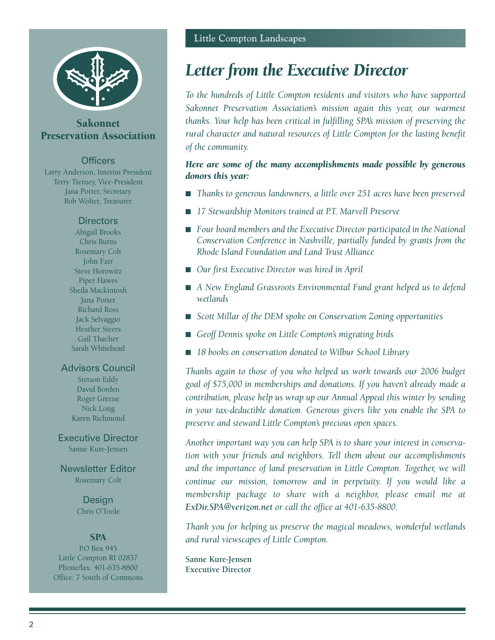

### Sakonnet Preservation Association

### **Officers**

Larry Anderson, Interim President Terry Tierney, Vice-President Jana Porter, Secretary Bob Wolter, Treasurer

### **Directors**

Abigail Brooks Chris Burns Rosemary Colt John Farr Steve Horowitz Piper Hawes Sheila Mackintosh Jana Porter Richard Ross Jack Selvaggio Heather Steers Gail Thacher Sarah Whitehead

### Advisors Council

Stetson Eddy David Borden Roger Greene Nick Long Karen Richmond

### Executive Director Sanne Kure-Jensen

Newsletter Editor Rosemary Colt

> **Design** Chris O'Toole

### **SPA**

P.O Box 945 Little Compton RI 02837 Phone/fax: 401-635-8800 Office: 7 South of Commons

## *Letter from the Executive Director*

*To the hundreds of Little Compton residents and visitors who have supported Sakonnet Preservation Association's mission again this year, our warmest thanks. Your help has been critical in fulfilling SPA's mission of preserving the rural character and natural resources of Little Compton for the lasting benefit of the community.* 

### *Here are some of the many accomplishments made possible by generous donors this year:*

- *Thanks to generous landowners, a little over 251 acres have been preserved*
- 17 Stewardship Monitors trained at P.T. Marvell Preserve
- Four board members and the Executive Director participated in the National *Conservation Conference in Nashville, partially funded by grants from the Rhode Island Foundation and Land Trust Alliance*
- *Our first Executive Director was hired in April*
- *A New England Grassroots Environmental Fund grant helped us to defend wetlands*
- *Scott Millar of the DEM spoke on Conservation Zoning opportunities*
- *Geoff Dennis spoke on Little Compton's migrating birds*
- 18 books on conservation donated to Wilbur School Library

*Thanks again to those of you who helped us work towards our 2006 budget goal of \$75,000 in memberships and donations. If you haven't already made a contribution, please help us wrap up our Annual Appeal this winter by sending in your tax-deductible donation. Generous givers like you enable the SPA to preserve and steward Little Compton's precious open spaces.*

*Another important way you can help SPA is to share your interest in conservation with your friends and neighbors. Tell them about our accomplishments and the importance of land preservation in Little Compton. Together, we will continue our mission, tomorrow and in perpetuity. If you would like a membership package to share with a neighbor, please email me at ExDir.SPA@verizon.net or call the office at 401-635-8800.*

*Thank you for helping us preserve the magical meadows, wonderful wetlands and rural viewscapes of Little Compton.* 

**Sanne Kure-Jensen Executive Director**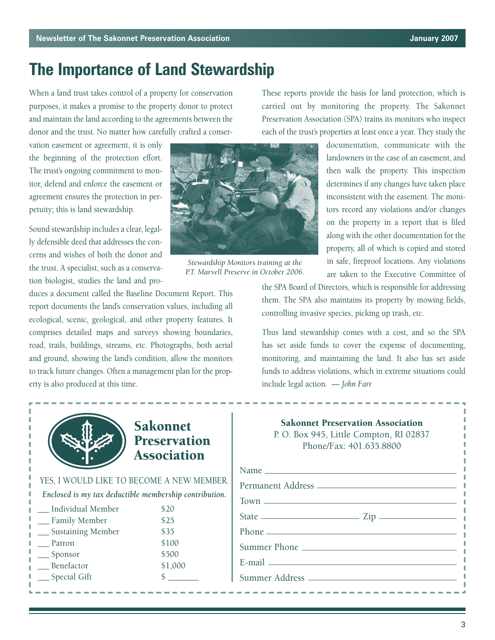## **The Importance of Land Stewardship**

When a land trust takes control of a property for conservation purposes, it makes a promise to the property donor to protect and maintain the land according to the agreements between the donor and the trust. No matter how carefully crafted a conser-

vation easement or agreement, it is only the beginning of the protection effort. The trust's ongoing commitment to monitor, defend and enforce the easement or agreement ensures the protection in perpetuity; this is land stewardship.

Sound stewardship includes a clear, legally defensible deed that addresses the concerns and wishes of both the donor and the trust. A specialist, such as a conservation biologist, studies the land and pro-

duces a document called the Baseline Document Report. This report documents the land's conservation values, including all ecological, scenic, geological, and other property features. It comprises detailed maps and surveys showing boundaries, road, trails, buildings, streams, etc. Photographs, both aerial and ground, showing the land's condition, allow the monitors to track future changes. Often a management plan for the property is also produced at this time.



*Stewardship Monitors training at the P.T. Marvell Preserve in October 2006.*

These reports provide the basis for land protection, which is carried out by monitoring the property. The Sakonnet Preservation Association (SPA) trains its monitors who inspect each of the trust's properties at least once a year. They study the

> documentation, communicate with the landowners in the case of an easement, and then walk the property. This inspection determines if any changes have taken place inconsistent with the easement. The monitors record any violations and/or changes on the property in a report that is filed along with the other documentation for the property, all of which is copied and stored in safe, fireproof locations. Any violations are taken to the Executive Committee of

the SPA Board of Directors, which is responsible for addressing them. The SPA also maintains its property by mowing fields, controlling invasive species, picking up trash, etc.

Thus land stewardship comes with a cost, and so the SPA has set aside funds to cover the expense of documenting, monitoring, and maintaining the land. It also has set aside funds to address violations, which in extreme situations could include legal action. — *John Farr*



### Sakonnet Preservation Association

YES, I WOULD LIKE TO BECOME A NEW MEMBER. *Enclosed is my tax deductible membership contribution.*  \_\_\_ Individual Member \$20 Family Member \$25 Sustaining Member \$35 Patron \$100 Sponsor \$500 Benefactor \$1,000 Special Gift  $\qquad$  \$

| <b>Sakonnet Preservation Association</b><br>P.O. Box 945, Little Compton, RI 02837<br>Phone/Fax: 401.635.8800 |
|---------------------------------------------------------------------------------------------------------------|
|                                                                                                               |
|                                                                                                               |
|                                                                                                               |
| State $\frac{2}{\pi}$ Zip                                                                                     |
|                                                                                                               |
|                                                                                                               |
|                                                                                                               |
|                                                                                                               |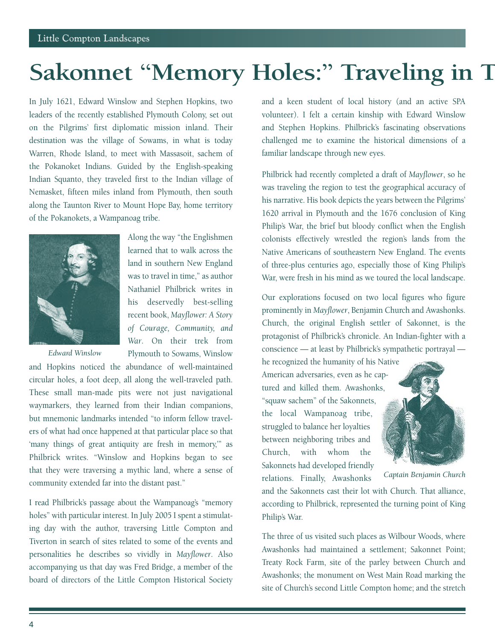# **Sakonnet "Memory Holes:" Traveling in T**

In July 1621, Edward Winslow and Stephen Hopkins, two leaders of the recently established Plymouth Colony, set out on the Pilgrims' first diplomatic mission inland. Their destination was the village of Sowams, in what is today Warren, Rhode Island, to meet with Massasoit, sachem of the Pokanoket Indians. Guided by the English-speaking Indian Squanto, they traveled first to the Indian village of Nemasket, fifteen miles inland from Plymouth, then south along the Taunton River to Mount Hope Bay, home territory of the Pokanokets, a Wampanoag tribe.



*Edward Winslow*

Along the way "the Englishmen learned that to walk across the land in southern New England was to travel in time," as author Nathaniel Philbrick writes in his deservedly best-selling recent book, *Mayflower: A Story of Courage, Community, and War*. On their trek from Plymouth to Sowams, Winslow

and Hopkins noticed the abundance of well-maintained circular holes, a foot deep, all along the well-traveled path. These small man-made pits were not just navigational waymarkers, they learned from their Indian companions, but mnemonic landmarks intended "to inform fellow travelers of what had once happened at that particular place so that 'many things of great antiquity are fresh in memory,"" as Philbrick writes. "Winslow and Hopkins began to see that they were traversing a mythic land, where a sense of community extended far into the distant past."

I read Philbrick's passage about the Wampanoag's "memory holes" with particular interest. In July 2005 I spent a stimulating day with the author, traversing Little Compton and Tiverton in search of sites related to some of the events and personalities he describes so vividly in *Mayflower*. Also accompanying us that day was Fred Bridge, a member of the board of directors of the Little Compton Historical Society and a keen student of local history (and an active SPA volunteer). I felt a certain kinship with Edward Winslow and Stephen Hopkins. Philbrick's fascinating observations challenged me to examine the historical dimensions of a familiar landscape through new eyes.

Philbrick had recently completed a draft of *Mayflower*, so he was traveling the region to test the geographical accuracy of his narrative. His book depicts the years between the Pilgrims' 1620 arrival in Plymouth and the 1676 conclusion of King Philip's War, the brief but bloody conflict when the English colonists effectively wrestled the region's lands from the Native Americans of southeastern New England. The events of three-plus centuries ago, especially those of King Philip's War, were fresh in his mind as we toured the local landscape.

Our explorations focused on two local figures who figure prominently in *Mayflower*, Benjamin Church and Awashonks. Church, the original English settler of Sakonnet, is the protagonist of Philbrick's chronicle. An Indian-fighter with a conscience — at least by Philbrick's sympathetic portrayal —

he recognized the humanity of his Native American adversaries, even as he captured and killed them. Awashonks, "squaw sachem" of the Sakonnets, the local Wampanoag tribe, struggled to balance her loyalties between neighboring tribes and Church, with whom the Sakonnets had developed friendly relations. Finally, Awashonks



*Captain Benjamin Church*

and the Sakonnets cast their lot with Church. That alliance, according to Philbrick, represented the turning point of King Philip's War.

The three of us visited such places as Wilbour Woods, where Awashonks had maintained a settlement; Sakonnet Point; Treaty Rock Farm, site of the parley between Church and Awashonks; the monument on West Main Road marking the site of Church's second Little Compton home; and the stretch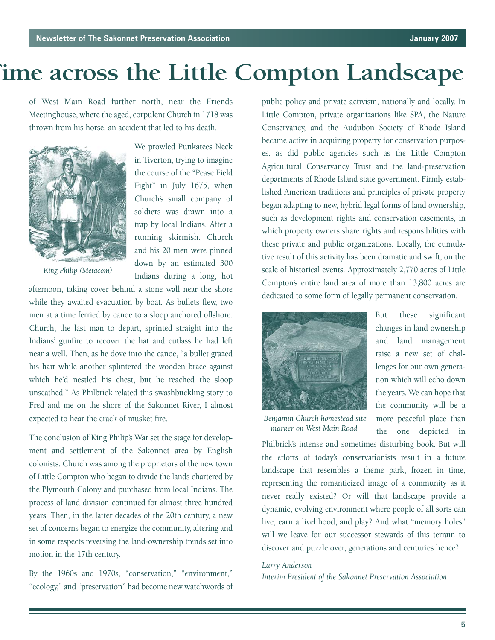# **Time across the Little Compton Landscape**

of West Main Road further north, near the Friends Meetinghouse, where the aged, corpulent Church in 1718 was thrown from his horse, an accident that led to his death.



*King Philip (Metacom)*

We prowled Punkatees Neck in Tiverton, trying to imagine the course of the "Pease Field Fight" in July 1675, when Church's small company of soldiers was drawn into a trap by local Indians. After a running skirmish, Church and his 20 men were pinned down by an estimated 300 Indians during a long, hot

afternoon, taking cover behind a stone wall near the shore while they awaited evacuation by boat. As bullets flew, two men at a time ferried by canoe to a sloop anchored offshore. Church, the last man to depart, sprinted straight into the Indians' gunfire to recover the hat and cutlass he had left near a well. Then, as he dove into the canoe, "a bullet grazed his hair while another splintered the wooden brace against which he'd nestled his chest, but he reached the sloop unscathed." As Philbrick related this swashbuckling story to Fred and me on the shore of the Sakonnet River, I almost expected to hear the crack of musket fire.

The conclusion of King Philip's War set the stage for development and settlement of the Sakonnet area by English colonists. Church was among the proprietors of the new town of Little Compton who began to divide the lands chartered by the Plymouth Colony and purchased from local Indians. The process of land division continued for almost three hundred years. Then, in the latter decades of the 20th century, a new set of concerns began to energize the community, altering and in some respects reversing the land-ownership trends set into motion in the 17th century.

By the 1960s and 1970s, "conservation," "environment," "ecology," and "preservation" had become new watchwords of public policy and private activism, nationally and locally. In Little Compton, private organizations like SPA, the Nature Conservancy, and the Audubon Society of Rhode Island became active in acquiring property for conservation purposes, as did public agencies such as the Little Compton Agricultural Conservancy Trust and the land-preservation departments of Rhode Island state government. Firmly established American traditions and principles of private property began adapting to new, hybrid legal forms of land ownership, such as development rights and conservation easements, in which property owners share rights and responsibilities with these private and public organizations. Locally, the cumulative result of this activity has been dramatic and swift, on the scale of historical events. Approximately 2,770 acres of Little Compton's entire land area of more than 13,800 acres are dedicated to some form of legally permanent conservation.



But these significant changes in land ownership and land management raise a new set of challenges for our own generation which will echo down the years. We can hope that the community will be a more peaceful place than the one depicted in

*Benjamin Church homestead site marker on West Main Road.*

Philbrick's intense and sometimes disturbing book. But will the efforts of today's conservationists result in a future landscape that resembles a theme park, frozen in time, representing the romanticized image of a community as it never really existed? Or will that landscape provide a dynamic, evolving environment where people of all sorts can live, earn a livelihood, and play? And what "memory holes" will we leave for our successor stewards of this terrain to discover and puzzle over, generations and centuries hence?

### *Larry Anderson*

*Interim President of the Sakonnet Preservation Association*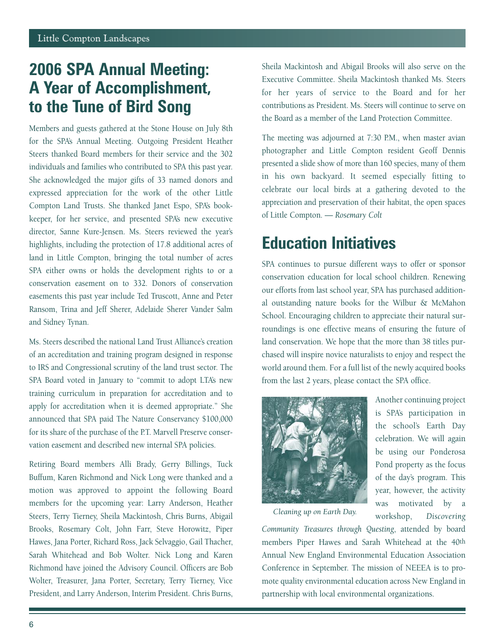## **2006 SPA Annual Meeting: A Year of Accomplishment, to the Tune of Bird Song**

Members and guests gathered at the Stone House on July 8th for the SPA's Annual Meeting. Outgoing President Heather Steers thanked Board members for their service and the 302 individuals and families who contributed to SPA this past year. She acknowledged the major gifts of 33 named donors and expressed appreciation for the work of the other Little Compton Land Trusts. She thanked Janet Espo, SPA's bookkeeper, for her service, and presented SPA's new executive director, Sanne Kure-Jensen. Ms. Steers reviewed the year's highlights, including the protection of 17.8 additional acres of land in Little Compton, bringing the total number of acres SPA either owns or holds the development rights to or a conservation easement on to 332. Donors of conservation easements this past year include Ted Truscott, Anne and Peter Ransom, Trina and Jeff Sherer, Adelaide Sherer Vander Salm and Sidney Tynan.

Ms. Steers described the national Land Trust Alliance's creation of an accreditation and training program designed in response to IRS and Congressional scrutiny of the land trust sector. The SPA Board voted in January to "commit to adopt LTA's new training curriculum in preparation for accreditation and to apply for accreditation when it is deemed appropriate." She announced that SPA paid The Nature Conservancy \$100,000 for its share of the purchase of the P.T. Marvell Preserve conservation easement and described new internal SPA policies.

Retiring Board members Alli Brady, Gerry Billings, Tuck Buffum, Karen Richmond and Nick Long were thanked and a motion was approved to appoint the following Board members for the upcoming year: Larry Anderson, Heather Steers, Terry Tierney, Sheila Mackintosh, Chris Burns, Abigail Brooks, Rosemary Colt, John Farr, Steve Horowitz, Piper Hawes, Jana Porter, Richard Ross, Jack Selvaggio, Gail Thacher, Sarah Whitehead and Bob Wolter. Nick Long and Karen Richmond have joined the Advisory Council. Officers are Bob Wolter, Treasurer, Jana Porter, Secretary, Terry Tierney, Vice President, and Larry Anderson, Interim President. Chris Burns,

Sheila Mackintosh and Abigail Brooks will also serve on the Executive Committee. Sheila Mackintosh thanked Ms. Steers for her years of service to the Board and for her contributions as President. Ms. Steers will continue to serve on the Board as a member of the Land Protection Committee.

The meeting was adjourned at 7:30 P.M., when master avian photographer and Little Compton resident Geoff Dennis presented a slide show of more than 160 species, many of them in his own backyard. It seemed especially fitting to celebrate our local birds at a gathering devoted to the appreciation and preservation of their habitat, the open spaces of Little Compton. — *Rosemary Colt*

## **Education Initiatives**

SPA continues to pursue different ways to offer or sponsor conservation education for local school children. Renewing our efforts from last school year, SPA has purchased additional outstanding nature books for the Wilbur & McMahon School. Encouraging children to appreciate their natural surroundings is one effective means of ensuring the future of land conservation. We hope that the more than 38 titles purchased will inspire novice naturalists to enjoy and respect the world around them. For a full list of the newly acquired books from the last 2 years, please contact the SPA office.



Another continuing project is SPA's participation in the school's Earth Day celebration. We will again be using our Ponderosa Pond property as the focus of the day's program. This year, however, the activity was motivated by a workshop, *Discovering*

*Cleaning up on Earth Day.* 

*Community Treasures through Questing*, attended by board members Piper Hawes and Sarah Whitehead at the 40th Annual New England Environmental Education Association Conference in September. The mission of NEEEA is to promote quality environmental education across New England in partnership with local environmental organizations.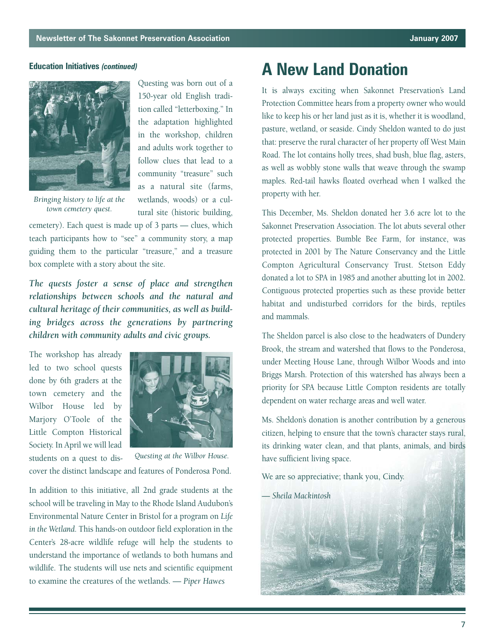

*Bringing history to life at the town cemetery quest.*

Questing was born out of a 150-year old English tradition called "letterboxing." In the adaptation highlighted in the workshop, children and adults work together to follow clues that lead to a community "treasure" such as a natural site (farms, wetlands, woods) or a cultural site (historic building,

cemetery). Each quest is made up of 3 parts — clues, which teach participants how to "see" a community story, a map guiding them to the particular "treasure," and a treasure box complete with a story about the site.

*The quests foster a sense of place and strengthen relationships between schools and the natural and cultural heritage of their communities, as well as building bridges across the generations by partnering children with community adults and civic groups.* 

The workshop has already led to two school quests done by 6th graders at the town cemetery and the Wilbor House led by Marjory O'Toole of the Little Compton Historical Society. In April we will lead



students on a quest to discover the distinct landscape and features of Ponderosa Pond. *Questing at the Wilbor House.*

In addition to this initiative, all 2nd grade students at the school will be traveling in May to the Rhode Island Audubon's Environmental Nature Center in Bristol for a program on *Life in the Wetland*. This hands-on outdoor field exploration in the Center's 28-acre wildlife refuge will help the students to understand the importance of wetlands to both humans and wildlife. The students will use nets and scientific equipment to examine the creatures of the wetlands. — *Piper Hawes*

## **Education Initiatives** *(continued)* **A New Land Donation**

It is always exciting when Sakonnet Preservation's Land Protection Committee hears from a property owner who would like to keep his or her land just as it is, whether it is woodland, pasture, wetland, or seaside. Cindy Sheldon wanted to do just that: preserve the rural character of her property off West Main Road. The lot contains holly trees, shad bush, blue flag, asters, as well as wobbly stone walls that weave through the swamp maples. Red-tail hawks floated overhead when I walked the property with her.

This December, Ms. Sheldon donated her 3.6 acre lot to the Sakonnet Preservation Association. The lot abuts several other protected properties. Bumble Bee Farm, for instance, was protected in 2001 by The Nature Conservancy and the Little Compton Agricultural Conservancy Trust. Stetson Eddy donated a lot to SPA in 1985 and another abutting lot in 2002. Contiguous protected properties such as these provide better habitat and undisturbed corridors for the birds, reptiles and mammals.

The Sheldon parcel is also close to the headwaters of Dundery Brook, the stream and watershed that flows to the Ponderosa, under Meeting House Lane, through Wilbor Woods and into Briggs Marsh. Protection of this watershed has always been a priority for SPA because Little Compton residents are totally dependent on water recharge areas and well water.

Ms. Sheldon's donation is another contribution by a generous citizen, helping to ensure that the town's character stays rural, its drinking water clean, and that plants, animals, and birds have sufficient living space.

We are so appreciative; thank you, Cindy.

— *Sheila Mackintosh*